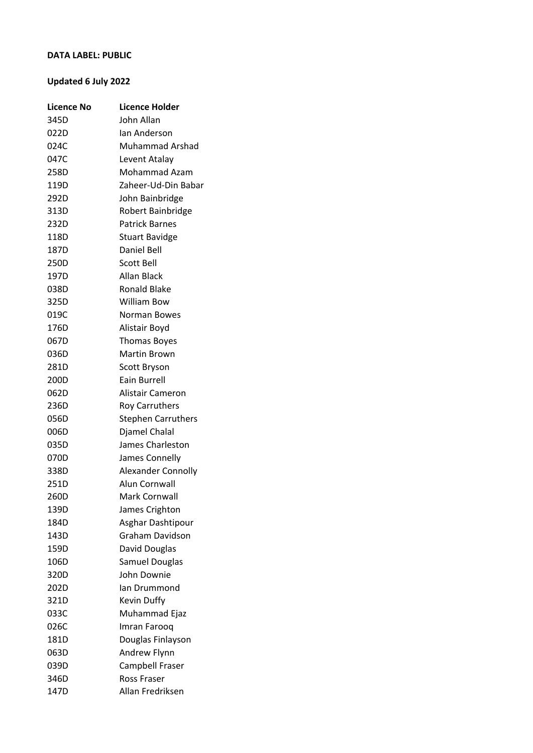## **DATA LABEL: PUBLIC**

## **Updated 6 July 2022**

| <b>Licence No</b> | <b>Licence Holder</b>     |
|-------------------|---------------------------|
| 345D              | John Allan                |
| 022D              | lan Anderson              |
| 024C              | Muhammad Arshad           |
| 047C              | Levent Atalay             |
| 258D              | <b>Mohammad Azam</b>      |
| 119D              | Zaheer-Ud-Din Babar       |
| 292D              | John Bainbridge           |
| 313D              | Robert Bainbridge         |
| 232D              | <b>Patrick Barnes</b>     |
| 118D              | <b>Stuart Bavidge</b>     |
| 187D              | Daniel Bell               |
| 250D              | <b>Scott Bell</b>         |
| 197D              | Allan Black               |
| 038D              | <b>Ronald Blake</b>       |
| 325D              | <b>William Bow</b>        |
| 019C              | <b>Norman Bowes</b>       |
| 176D              | Alistair Boyd             |
| 067D              | <b>Thomas Boyes</b>       |
| 036D              | Martin Brown              |
| 281D              | Scott Bryson              |
| 200D              | Eain Burrell              |
| 062D              | Alistair Cameron          |
| 236D              | <b>Roy Carruthers</b>     |
| 056D              | <b>Stephen Carruthers</b> |
| 006D              | Djamel Chalal             |
| 035D              | James Charleston          |
| 070D              | James Connelly            |
| 338D              | <b>Alexander Connolly</b> |
| 251D              | Alun Cornwall             |
| 260D              | Mark Cornwall             |
| 139D              | James Crighton            |
| 184D              | Asghar Dashtipour         |
| 143D              | Graham Davidson           |
| 159D              | David Douglas             |
| 106D              | Samuel Douglas            |
| 320D              | John Downie               |
| 202D              | lan Drummond              |
| 321D              | Kevin Duffy               |
| 033C              | Muhammad Ejaz             |
| 026C              | Imran Farooq              |
| 181D              | Douglas Finlayson         |
| 063D              | Andrew Flynn              |
| 039D              | Campbell Fraser           |
| 346D              | Ross Fraser               |
| 147D              | Allan Fredriksen          |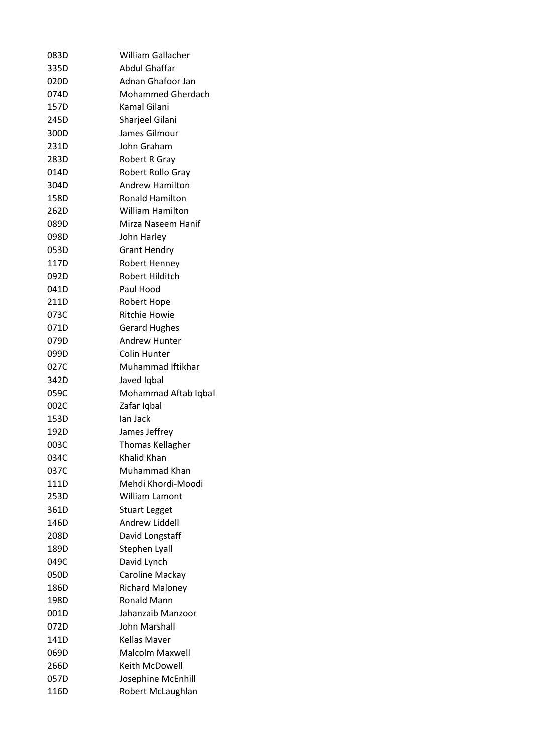| 083D | <b>William Gallacher</b> |
|------|--------------------------|
| 335D | Abdul Ghaffar            |
| 020D | Adnan Ghafoor Jan        |
| 074D | <b>Mohammed Gherdach</b> |
| 157D | Kamal Gilani             |
| 245D | Sharjeel Gilani          |
| 300D | James Gilmour            |
| 231D | John Graham              |
| 283D | <b>Robert R Gray</b>     |
| 014D | Robert Rollo Gray        |
| 304D | <b>Andrew Hamilton</b>   |
| 158D | <b>Ronald Hamilton</b>   |
| 262D | <b>William Hamilton</b>  |
| 089D | Mirza Naseem Hanif       |
| 098D | John Harley              |
| 053D | <b>Grant Hendry</b>      |
| 117D | Robert Henney            |
| 092D | Robert Hilditch          |
| 041D | Paul Hood                |
| 211D | Robert Hope              |
| 073C | <b>Ritchie Howie</b>     |
| 071D | <b>Gerard Hughes</b>     |
| 079D | <b>Andrew Hunter</b>     |
| 099D | Colin Hunter             |
| 027C | Muhammad Iftikhar        |
| 342D | Javed Iqbal              |
| 059C | Mohammad Aftab Iqbal     |
| 002C | Zafar Iqbal              |
| 153D | lan Jack                 |
| 192D | James Jeffrey            |
| 003C | <b>Thomas Kellagher</b>  |
| 034C | <b>Khalid Khan</b>       |
| 037C | Muhammad Khan            |
| 111D | Mehdi Khordi-Moodi       |
| 253D | William Lamont           |
| 361D | <b>Stuart Legget</b>     |
| 146D | Andrew Liddell           |
| 208D | David Longstaff          |
| 189D | Stephen Lyall            |
| 049C | David Lynch              |
| 050D | Caroline Mackay          |
| 186D | <b>Richard Maloney</b>   |
| 198D | <b>Ronald Mann</b>       |
| 001D | Jahanzaib Manzoor        |
| 072D | John Marshall            |
| 141D | Kellas Maver             |
| 069D | Malcolm Maxwell          |
| 266D | Keith McDowell           |
| 057D | Josephine McEnhill       |
| 116D | Robert McLaughlan        |
|      |                          |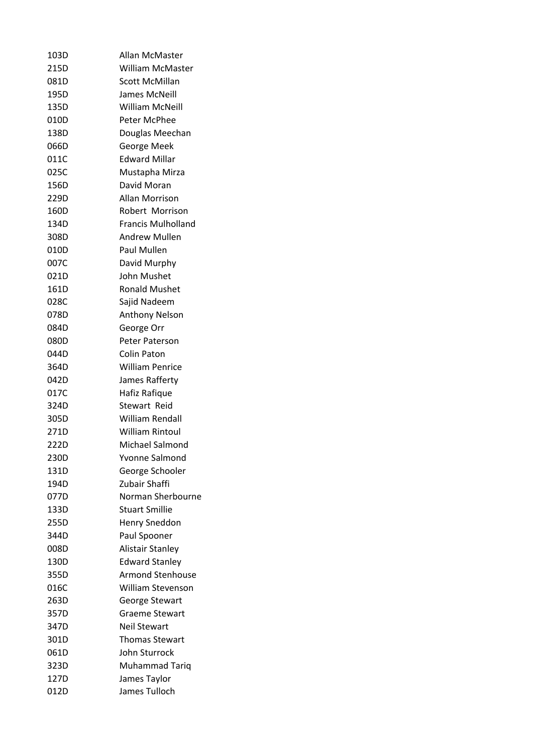| 103D | Allan McMaster            |
|------|---------------------------|
| 215D | William McMaster          |
| 081D | <b>Scott McMillan</b>     |
| 195D | James McNeill             |
| 135D | William McNeill           |
| 010D | Peter McPhee              |
| 138D | Douglas Meechan           |
| 066D | George Meek               |
| 011C | <b>Edward Millar</b>      |
| 025C | Mustapha Mirza            |
| 156D | David Moran               |
| 229D | Allan Morrison            |
| 160D | Robert Morrison           |
| 134D | <b>Francis Mulholland</b> |
| 308D | <b>Andrew Mullen</b>      |
| 010D | Paul Mullen               |
| 007C | David Murphy              |
| 021D | John Mushet               |
| 161D | <b>Ronald Mushet</b>      |
| 028C | Sajid Nadeem              |
| 078D | <b>Anthony Nelson</b>     |
| 084D | George Orr                |
| 080D | <b>Peter Paterson</b>     |
| 044D | Colin Paton               |
| 364D | <b>William Penrice</b>    |
| 042D | James Rafferty            |
| 017C | Hafiz Rafique             |
| 324D | Stewart Reid              |
| 305D | William Rendall           |
| 271D | William Rintoul           |
| 222D | Michael Salmond           |
| 230D | Yvonne Salmond            |
| 131D | George Schooler           |
| 194D | Zubair Shaffi             |
| 077D | Norman Sherbourne         |
| 133D | <b>Stuart Smillie</b>     |
| 255D | <b>Henry Sneddon</b>      |
| 344D | Paul Spooner              |
| 008D | Alistair Stanley          |
| 130D | <b>Edward Stanley</b>     |
| 355D | <b>Armond Stenhouse</b>   |
| 016C | William Stevenson         |
| 263D | <b>George Stewart</b>     |
| 357D | <b>Graeme Stewart</b>     |
| 347D | <b>Neil Stewart</b>       |
|      |                           |
| 301D | <b>Thomas Stewart</b>     |
| 061D | John Sturrock             |
| 323D | Muhammad Tariq            |
| 127D | James Taylor              |
| 012D | James Tulloch             |